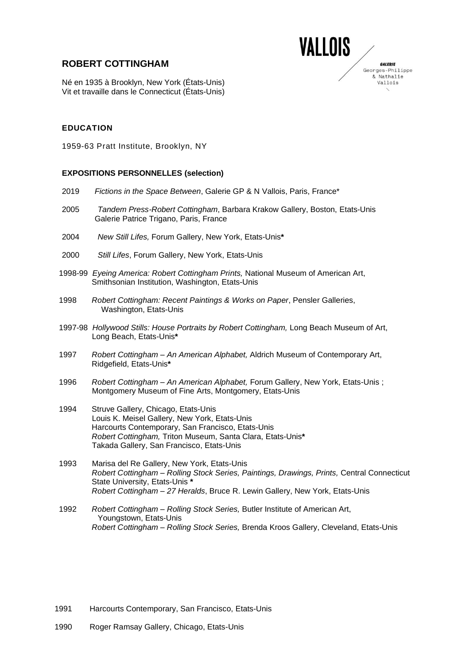# **ROBERT COTTINGHAM**



GALERIE

& Nathalie Vallois

Né en 1935 à Brooklyn, New York (États-Unis) Vit et travaille dans le Connecticut (États-Unis)

### **EDUCATION**

1959-63 Pratt Institute, Brooklyn, NY

#### **EXPOSITIONS PERSONNELLES (selection)**

- 2019 *Fictions in the Space Between*, Galerie GP & N Vallois, Paris, France\*
- 2005 *Tandem Press-Robert Cottingham*, Barbara Krakow Gallery, Boston, Etats-Unis Galerie Patrice Trigano, Paris, France
- 2004 *New Still Lifes,* Forum Gallery, New York, Etats-Unis**\***
- 2000 *Still Lifes*, Forum Gallery, New York, Etats-Unis
- 1998-99 *Eyeing America: Robert Cottingham Prints,* National Museum of American Art, Smithsonian Institution, Washington, Etats-Unis
- 1998 *Robert Cottingham: Recent Paintings & Works on Paper*, Pensler Galleries, Washington, Etats-Unis
- 1997-98 *Hollywood Stills: House Portraits by Robert Cottingham,* Long Beach Museum of Art, Long Beach, Etats-Unis**\***
- 1997 *Robert Cottingham – An American Alphabet,* Aldrich Museum of Contemporary Art, Ridgefield, Etats-Unis**\***
- 1996 *Robert Cottingham – An American Alphabet,* Forum Gallery, New York, Etats-Unis ; Montgomery Museum of Fine Arts, Montgomery, Etats-Unis
- 1994 Struve Gallery, Chicago, Etats-Unis Louis K. Meisel Gallery, New York, Etats-Unis Harcourts Contemporary, San Francisco, Etats-Unis  *Robert Cottingham,* Triton Museum, Santa Clara, Etats-Unis**\*** Takada Gallery, San Francisco, Etats-Unis
- 1993 Marisa del Re Gallery, New York, Etats-Unis *Robert Cottingham – Rolling Stock Series, Paintings, Drawings, Prints,* Central Connecticut State University, Etats-Unis **\*** *Robert Cottingham – 27 Heralds*, Bruce R. Lewin Gallery, New York, Etats-Unis
- 1992 *Robert Cottingham – Rolling Stock Series,* Butler Institute of American Art, Youngstown, Etats-Unis  *Robert Cottingham – Rolling Stock Series,* Brenda Kroos Gallery, Cleveland, Etats-Unis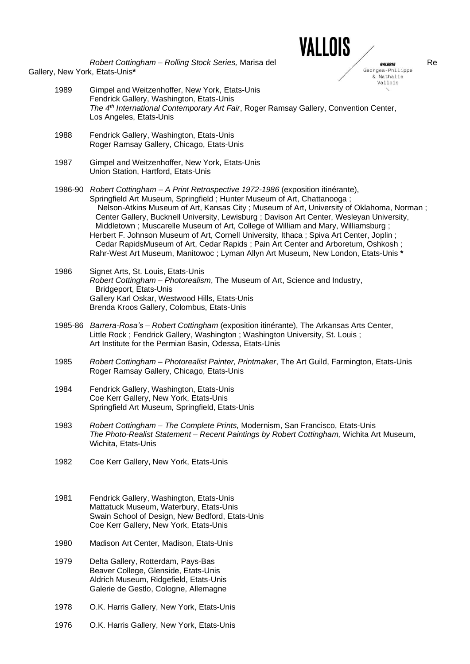*Robert Cottingham – Rolling Stock Series, Marisa del* **Render Consumers Consumers Render Render Render Render Render Render Render Render Render Render Render Render Render Render Render Render Render Render Render Render** Gallery, New York, Etats-Unis**\***



& Nathalie Vallois

- 1989 Gimpel and Weitzenhoffer, New York, Etats-Unis Fendrick Gallery, Washington, Etats-Unis  *The 4th International Contemporary Art Fair*, Roger Ramsay Gallery, Convention Center, Los Angeles, Etats-Unis
- 1988 Fendrick Gallery, Washington, Etats-Unis Roger Ramsay Gallery, Chicago, Etats-Unis
- 1987 Gimpel and Weitzenhoffer, New York, Etats-Unis Union Station, Hartford, Etats-Unis
- 1986-90 *Robert Cottingham – A Print Retrospective 1972-1986* (exposition itinérante), Springfield Art Museum, Springfield ; Hunter Museum of Art, Chattanooga ; Nelson-Atkins Museum of Art, Kansas City ; Museum of Art, University of Oklahoma, Norman ; Center Gallery, Bucknell University, Lewisburg ; Davison Art Center, Wesleyan University, Middletown ; Muscarelle Museum of Art, College of William and Mary, Williamsburg ; Herbert F. Johnson Museum of Art, Cornell University, Ithaca ; Spiva Art Center, Joplin ; Cedar RapidsMuseum of Art, Cedar Rapids ; Pain Art Center and Arboretum, Oshkosh ; Rahr-West Art Museum, Manitowoc ; Lyman Allyn Art Museum, New London, Etats-Unis **\***
- 1986 Signet Arts, St. Louis, Etats-Unis *Robert Cottingham – Photorealism*, The Museum of Art, Science and Industry, Bridgeport, Etats-Unis Gallery Karl Oskar, Westwood Hills, Etats-Unis Brenda Kroos Gallery, Colombus, Etats-Unis
- 1985-86 *Barrera-Rosa's – Robert Cottingham* (exposition itinérante), The Arkansas Arts Center, Little Rock ; Fendrick Gallery, Washington ; Washington University, St. Louis ; Art Institute for the Permian Basin, Odessa, Etats-Unis
- 1985 *Robert Cottingham – Photorealist Painter, Printmaker*, The Art Guild, Farmington, Etats-Unis Roger Ramsay Gallery, Chicago, Etats-Unis
- 1984 Fendrick Gallery, Washington, Etats-Unis Coe Kerr Gallery, New York, Etats-Unis Springfield Art Museum, Springfield, Etats-Unis
- 1983 *Robert Cottingham – The Complete Prints,* Modernism, San Francisco, Etats-Unis *The Photo-Realist Statement – Recent Paintings by Robert Cottingham,* Wichita Art Museum, Wichita, Etats-Unis
- 1982 Coe Kerr Gallery, New York, Etats-Unis
- 1981 Fendrick Gallery, Washington, Etats-Unis Mattatuck Museum, Waterbury, Etats-Unis Swain School of Design, New Bedford, Etats-Unis Coe Kerr Gallery, New York, Etats-Unis
- 1980 Madison Art Center, Madison, Etats-Unis
- 1979 Delta Gallery, Rotterdam, Pays-Bas Beaver College, Glenside, Etats-Unis Aldrich Museum, Ridgefield, Etats-Unis Galerie de Gestlo, Cologne, Allemagne
- 1978 O.K. Harris Gallery, New York, Etats-Unis
- 1976 O.K. Harris Gallery, New York, Etats-Unis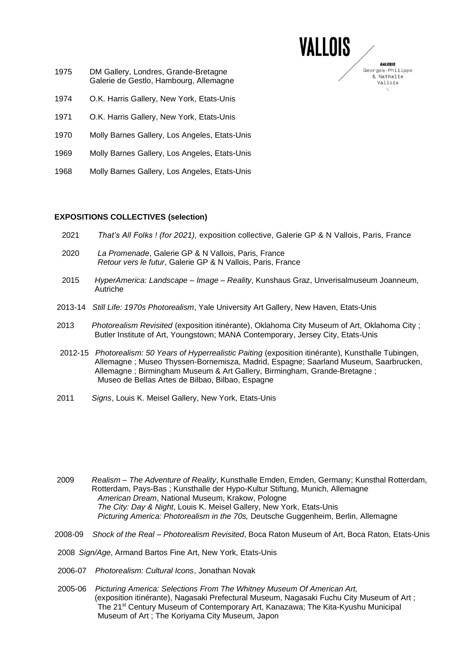- 1975 DM Gallery, Londres, Grande-Bretagne Galerie de Gestlo, Hambourg, Allemagne
- 1974 O.K. Harris Gallery, New York, Etats-Unis
- 1971 O.K. Harris Gallery, New York, Etats-Unis
- 1970 Molly Barnes Gallery, Los Angeles, Etats-Unis
- 1969 Molly Barnes Gallery, Los Angeles, Etats-Unis
- 1968 Molly Barnes Gallery, Los Angeles, Etats-Unis

### **EXPOSITIONS COLLECTIVES (selection)**

2021 *That's All Folks ! (for 2021),* exposition collective, Galerie GP & N Vallois, Paris, France

VALLOIS

GALERIE Georges-Philippe & Nathalie Vallois

- 2020 *La Promenade*, Galerie GP & N Vallois, Paris, France *Retour vers le futur*, Galerie GP & N Vallois, Paris, France
- 2015 *HyperAmerica: Landscape – Image – Reality*, Kunshaus Graz, Unverisalmuseum Joanneum, Autriche
- 2013-14 *Still Life: 1970s Photorealism*, Yale University Art Gallery, New Haven, Etats-Unis
- 2013 *Photorealism Revisited* (exposition itinérante), Oklahoma City Museum of Art, Oklahoma City ; Butler Institute of Art, Youngstown; MANA Contemporary, Jersey City, Etats-Unis
- 2012-15 *Photorealism: 50 Years of Hyperrealistic Paiting* (exposition itinérante), Kunsthalle Tubingen, Allemagne ; Museo Thyssen-Bornemisza, Madrid, Espagne; Saarland Museum, Saarbrucken, Allemagne ; Birmingham Museum & Art Gallery, Birmingham, Grande-Bretagne ; Museo de Bellas Artes de Bilbao, Bilbao, Espagne
- 2011 *Signs*, Louis K. Meisel Gallery, New York, Etats-Unis

- 2009 *Realism – The Adventure of Reality*, Kunsthalle Emden, Emden, Germany; Kunsthal Rotterdam, Rotterdam, Pays-Bas ; Kunsthalle der Hypo-Kultur Stiftung, Munich, Allemagne *American Dream*, National Museum, Krakow, Pologne *The City: Day & Night*, Louis K. Meisel Gallery, New York, Etats-Unis *Picturing America: Photorealism in the 70s,* Deutsche Guggenheim, Berlin, Allemagne
- 2008-09 *Shock of the Real – Photorealism Revisited*, Boca Raton Museum of Art, Boca Raton, Etats-Unis
- 2008 *Sign/Age*, Armand Bartos Fine Art, New York, Etats-Unis
- 2006-07 *Photorealism: Cultural Icons*, Jonathan Novak
- 2005-06 *Picturing America: Selections From The Whitney Museum Of American Art,* (exposition itinérante), Nagasaki Prefectural Museum, Nagasaki Fuchu City Museum of Art ; The 21<sup>st</sup> Century Museum of Contemporary Art, Kanazawa; The Kita-Kyushu Municipal Museum of Art ; The Koriyama City Museum, Japon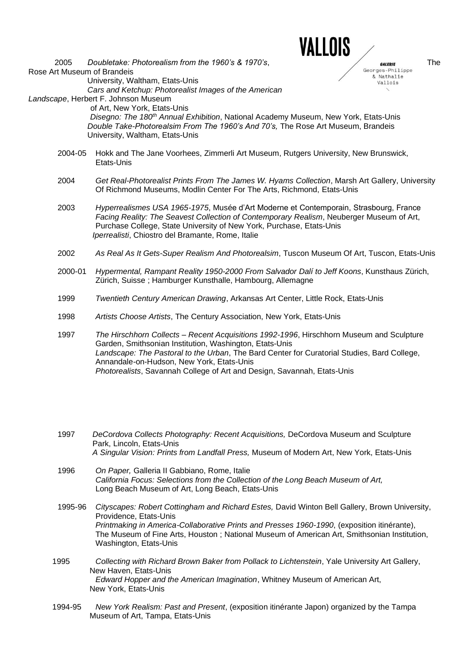

& Nathalie Vallois

2005 *Doubletake: Photorealism from the 1960's & 1970's*,<br>
The Secres-Philippe Rose Art Museum of Brandeis University, Waltham, Etats-Unis

 *Cars and Ketchup: Photorealist Images of the American Landscape*, Herbert F. Johnson Museum

of Art, New York, Etats-Unis

 *Disegno: The 180th Annual Exhibition*, National Academy Museum, New York, Etats-Unis *Double Take-Photorealsim From The 1960's And 70's,* The Rose Art Museum, Brandeis University, Waltham, Etats-Unis

- 2004-05 Hokk and The Jane Voorhees, Zimmerli Art Museum, Rutgers University, New Brunswick, Etats-Unis
- 2004 *Get Real-Photorealist Prints From The James W. Hyams Collection*, Marsh Art Gallery, University Of Richmond Museums, Modlin Center For The Arts, Richmond, Etats-Unis
- 2003 *Hyperrealismes USA 1965-1975*, Musée d'Art Moderne et Contemporain, Strasbourg, France *Facing Reality: The Seavest Collection of Contemporary Realism*, Neuberger Museum of Art, Purchase College, State University of New York, Purchase, Etats-Unis *Iperrealisti*, Chiostro del Bramante, Rome, Italie
- 2002 *As Real As It Gets-Super Realism And Photorealsim*, Tuscon Museum Of Art, Tuscon, Etats-Unis
- 2000-01 *Hypermental, Rampant Reality 1950-2000 From Salvador Dalí to Jeff Koons*, Kunsthaus Zürich, Zürich, Suisse ; Hamburger Kunsthalle, Hambourg, Allemagne
- 1999 *Twentieth Century American Drawing*, Arkansas Art Center, Little Rock, Etats-Unis
- 1998 *Artists Choose Artists*, The Century Association, New York, Etats-Unis

1997 *The Hirschhorn Collects – Recent Acquisitions 1992-1996*, Hirschhorn Museum and Sculpture Garden, Smithsonian Institution, Washington, Etats-Unis *Landscape: The Pastoral to the Urban*, The Bard Center for Curatorial Studies, Bard College, Annandale-on-Hudson, New York, Etats-Unis *Photorealists*, Savannah College of Art and Design, Savannah, Etats-Unis

- 1997 *DeCordova Collects Photography: Recent Acquisitions,* DeCordova Museum and Sculpture Park, Lincoln, Etats-Unis *A Singular Vision: Prints from Landfall Press,* Museum of Modern Art, New York, Etats-Unis
- 1996 *On Paper,* Galleria II Gabbiano, Rome, Italie *California Focus: Selections from the Collection of the Long Beach Museum of Art,* Long Beach Museum of Art, Long Beach, Etats-Unis
- 1995-96 *Cityscapes: Robert Cottingham and Richard Estes,* David Winton Bell Gallery, Brown University, Providence, Etats-Unis *Printmaking in America-Collaborative Prints and Presses 1960-1990*, (exposition itinérante), The Museum of Fine Arts, Houston ; National Museum of American Art, Smithsonian Institution, Washington, Etats-Unis
- 1995 *Collecting with Richard Brown Baker from Pollack to Lichtenstein*, Yale University Art Gallery, New Haven, Etats-Unis *Edward Hopper and the American Imagination*, Whitney Museum of American Art, New York, Etats-Unis
- 1994-95 *New York Realism: Past and Present*, (exposition itinérante Japon) organized by the Tampa Museum of Art, Tampa, Etats-Unis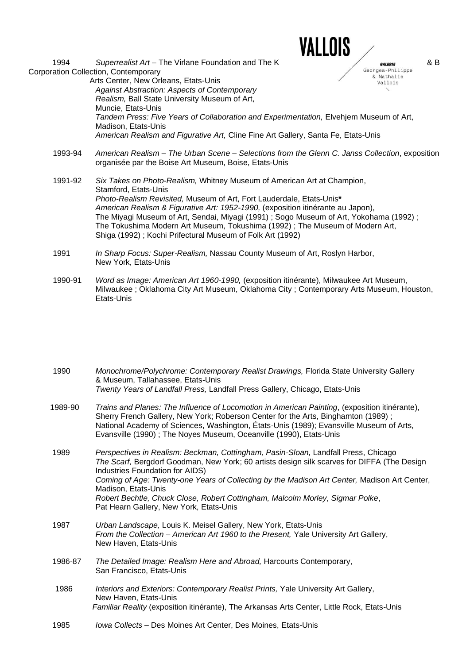

& Nathalie Vallois

1994 *Superrealist Art* – The Virlane Foundation and The K *BALERIE S***<sub>Georges-Philippe 8 B** *S***<sub>Georges-Philippe**</sub></sub> Corporation Collection, Contemporary Arts Center, New Orleans, Etats-Unis

*Against Abstraction: Aspects of Contemporary Realism,* Ball State University Museum of Art, Muncie, Etats-Unis *Tandem Press: Five Years of Collaboration and Experimentation,* Elvehjem Museum of Art, Madison, Etats-Unis *American Realism and Figurative Art,* Cline Fine Art Gallery, Santa Fe, Etats-Unis

1993-94 *American Realism – The Urban Scene* – *Selections from the Glenn C. Janss Collection*, exposition organisée par the Boise Art Museum, Boise, Etats-Unis

1991-92 *Six Takes on Photo-Realism,* Whitney Museum of American Art at Champion, Stamford, Etats-Unis *Photo-Realism Revisited,* Museum of Art, Fort Lauderdale, Etats-Unis**\*** *American Realism & Figurative Art: 1952-1990,* (exposition itinérante au Japon), The Miyagi Museum of Art, Sendai, Miyagi (1991) ; Sogo Museum of Art, Yokohama (1992) ; The Tokushima Modern Art Museum, Tokushima (1992) ; The Museum of Modern Art, Shiga (1992) ; Kochi Prifectural Museum of Folk Art (1992)

- 1991 *In Sharp Focus: Super-Realism,* Nassau County Museum of Art, Roslyn Harbor, New York, Etats-Unis
- 1990-91 *Word as Image: American Art 1960-1990,* (exposition itinérante), Milwaukee Art Museum, Milwaukee ; Oklahoma City Art Museum, Oklahoma City ; Contemporary Arts Museum, Houston, Etats-Unis

1990 *Monochrome/Polychrome: Contemporary Realist Drawings,* Florida State University Gallery & Museum, Tallahassee, Etats-Unis *Twenty Years of Landfall Press,* Landfall Press Gallery, Chicago, Etats-Unis

 1989-90 *Trains and Planes: The Influence of Locomotion in American Painting*, (exposition itinérante), Sherry French Gallery, New York; Roberson Center for the Arts, Binghamton (1989) ; National Academy of Sciences, Washington, États-Unis (1989); Evansville Museum of Arts, Evansville (1990) ; The Noyes Museum, Oceanville (1990), Etats-Unis

 1989 *Perspectives in Realism: Beckman, Cottingham, Pasin-Sloan,* Landfall Press, Chicago *The Scarf,* Bergdorf Goodman, New York; 60 artists design silk scarves for DIFFA (The Design Industries Foundation for AIDS) *Coming of Age: Twenty-one Years of Collecting by the Madison Art Center,* Madison Art Center, Madison, Etats-Unis *Robert Bechtle, Chuck Close, Robert Cottingham, Malcolm Morley, Sigmar Polke*, Pat Hearn Gallery, New York, Etats-Unis

- 1987 *Urban Landscape,* Louis K. Meisel Gallery, New York, Etats-Unis *From the Collection – American Art 1960 to the Present,* Yale University Art Gallery, New Haven, Etats-Unis
- 1986-87 *The Detailed Image: Realism Here and Abroad,* Harcourts Contemporary, San Francisco, Etats-Unis
- 1986 *Interiors and Exteriors: Contemporary Realist Prints,* Yale University Art Gallery, New Haven, Etats-Unis  *Familiar Reality* (exposition itinérante), The Arkansas Arts Center, Little Rock, Etats-Unis
- 1985 *Iowa Collects –* Des Moines Art Center, Des Moines, Etats-Unis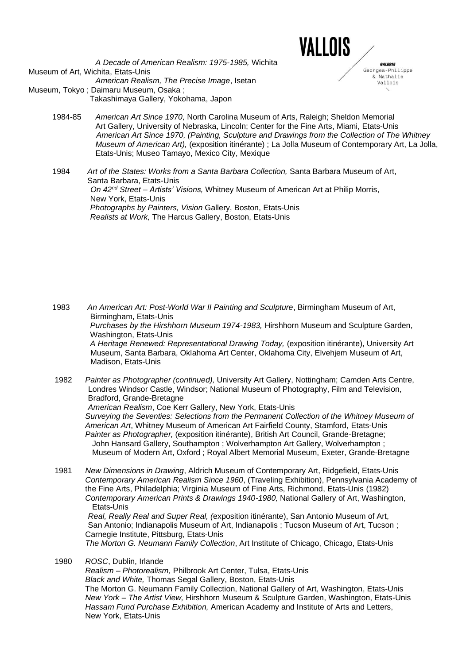

GALERIE Georges-Philippe & Nathalie Vallois

*A Decade of American Realism: 1975-1985,* Wichita Museum of Art, Wichita, Etats-Unis *American Realism, The Precise Image*, Isetan Museum, Tokyo ; Daimaru Museum, Osaka ; Takashimaya Gallery, Yokohama, Japon

- 1984-85 *American Art Since 1970,* North Carolina Museum of Arts, Raleigh; Sheldon Memorial Art Gallery, University of Nebraska, Lincoln; Center for the Fine Arts, Miami, Etats-Unis *American Art Since 1970, (Painting, Sculpture and Drawings from the Collection of The Whitney Museum of American Art),* (exposition itinérante) ; La Jolla Museum of Contemporary Art, La Jolla, Etats-Unis; Museo Tamayo, Mexico City, Mexique
- 1984 Art of the States: Works from a Santa Barbara Collection, Santa Barbara Museum of Art, Santa Barbara, Etats-Unis  *On 42nd Street – Artists' Visions,* Whitney Museum of American Art at Philip Morris, New York, Etats-Unis *Photographs by Painters, Vision* Gallery, Boston, Etats-Unis  *Realists at Work,* The Harcus Gallery, Boston, Etats-Unis

 1983 *An American Art: Post-World War II Painting and Sculpture*, Birmingham Museum of Art, Birmingham, Etats-Unis  *Purchases by the Hirshhorn Museum 1974-1983,* Hirshhorn Museum and Sculpture Garden, Washington, Etats-Unis  *A Heritage Renewed: Representational Drawing Today,* (exposition itinérante), University Art Museum, Santa Barbara, Oklahoma Art Center, Oklahoma City, Elvehjem Museum of Art, Madison, Etats-Unis

 1982 *Painter as Photographer (continued),* University Art Gallery, Nottingham; Camden Arts Centre, Londres Windsor Castle, Windsor; National Museum of Photography, Film and Television, Bradford, Grande-Bretagne *American Realism*, Coe Kerr Gallery, New York, Etats-Unis *Surveying the Seventies: Selections from the Permanent Collection of the Whitney Museum of American Art*, Whitney Museum of American Art Fairfield County, Stamford, Etats-Unis  *Painter as Photographer,* (exposition itinérante), British Art Council, Grande-Bretagne; John Hansard Gallery, Southampton ; Wolverhampton Art Gallery, Wolverhampton ; Museum of Modern Art, Oxford ; Royal Albert Memorial Museum, Exeter, Grande-Bretagne

 1981 *New Dimensions in Drawing*, Aldrich Museum of Contemporary Art, Ridgefield, Etats-Unis *Contemporary American Realism Since 1960*, (Traveling Exhibition), Pennsylvania Academy of the Fine Arts, Philadelphia; Virginia Museum of Fine Arts, Richmond, Etats-Unis (1982)  *Contemporary American Prints & Drawings 1940-1980,* National Gallery of Art, Washington, Etats-Unis

 *Real, Really Real and Super Real, (*exposition itinérante), San Antonio Museum of Art, San Antonio; Indianapolis Museum of Art, Indianapolis ; Tucson Museum of Art, Tucson ; Carnegie Institute, Pittsburg, Etats-Unis

 *The Morton G. Neumann Family Collection*, Art Institute of Chicago, Chicago, Etats-Unis

1980 *ROSC*, Dublin, Irlande

 *Realism – Photorealism,* Philbrook Art Center, Tulsa, Etats-Unis  *Black and White,* Thomas Segal Gallery, Boston, Etats-Unis The Morton G. Neumann Family Collection, National Gallery of Art, Washington, Etats-Unis  *New York – The Artist View,* Hirshhorn Museum & Sculpture Garden, Washington, Etats-Unis  *Hassam Fund Purchase Exhibition,* American Academy and Institute of Arts and Letters, New York, Etats-Unis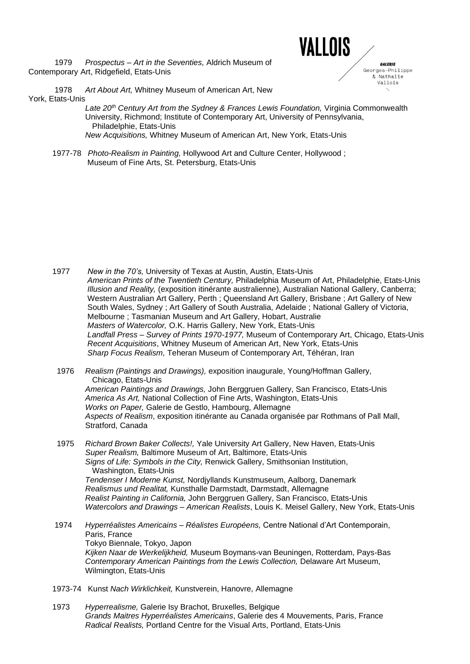1979 *Prospectus – Art in the Seventies,* Aldrich Museum of Contemporary Art, Ridgefield, Etats-Unis



 1978 *Art About Art,* Whitney Museum of American Art, New York, Etats-Unis

 *Late 20th Century Art from the Sydney & Frances Lewis Foundation,* Virginia Commonwealth University, Richmond; Institute of Contemporary Art, University of Pennsylvania, Philadelphie, Etats-Unis *New Acquisitions,* Whitney Museum of American Art, New York, Etats-Unis

 1977-78 *Photo-Realism in Painting,* Hollywood Art and Culture Center, Hollywood ; Museum of Fine Arts, St. Petersburg, Etats-Unis

- 1977 *New in the 70's,* University of Texas at Austin, Austin, Etats-Unis  *American Prints of the Twentieth Century,* Philadelphia Museum of Art, Philadelphie, Etats-Unis  *Illusion and Reality,* (exposition itinérante australienne), Australian National Gallery, Canberra; Western Australian Art Gallery, Perth ; Queensland Art Gallery, Brisbane ; Art Gallery of New South Wales, Sydney ; Art Gallery of South Australia, Adelaide ; National Gallery of Victoria, Melbourne ; Tasmanian Museum and Art Gallery, Hobart, Australie  *Masters of Watercolor,* O.K. Harris Gallery, New York, Etats-Unis  *Landfall Press – Survey of Prints 1970-1977,* Museum of Contemporary Art, Chicago, Etats-Unis  *Recent Acquisitions*, Whitney Museum of American Art, New York, Etats-Unis  *Sharp Focus Realism,* Teheran Museum of Contemporary Art, Téhéran, Iran
- 1976 *Realism (Paintings and Drawings),* exposition inaugurale, Young/Hoffman Gallery, Chicago, Etats-Unis  *American Paintings and Drawings,* John Berggruen Gallery, San Francisco, Etats-Unis  *America As Art,* National Collection of Fine Arts, Washington, Etats-Unis  *Works on Paper,* Galerie de Gestlo, Hambourg, Allemagne *Aspects of Realism*, exposition itinérante au Canada organisée par Rothmans of Pall Mall, Stratford, Canada
- 1975 *Richard Brown Baker Collects!,* Yale University Art Gallery, New Haven, Etats-Unis *Super Realism,* Baltimore Museum of Art, Baltimore, Etats-Unis  *Signs of Life: Symbols in the City,* Renwick Gallery, Smithsonian Institution, Washington, Etats-Unis  *Tendenser I Moderne Kunst,* Nordjyllands Kunstmuseum, Aalborg, Danemark  *Realismus und Realitat,* Kunsthalle Darmstadt, Darmstadt, Allemagne  *Realist Painting in California,* John Berggruen Gallery, San Francisco, Etats-Unis  *Watercolors and Drawings – American Realists*, Louis K. Meisel Gallery, New York, Etats-Unis
- 1974 *Hyperréalistes Americains – Réalistes Européens,* Centre National d'Art Contemporain, Paris, France Tokyo Biennale, Tokyo, Japon  *Kijken Naar de Werkelijkheid,* Museum Boymans-van Beuningen, Rotterdam, Pays-Bas  *Contemporary American Paintings from the Lewis Collection,* Delaware Art Museum, Wilmington, Etats-Unis
- 1973-74 Kunst *Nach Wirklichkeit,* Kunstverein, Hanovre, Allemagne
- 1973 *Hyperrealisme,* Galerie Isy Brachot, Bruxelles, Belgique  *Grands Maitres Hyperréalistes Americains*, Galerie des 4 Mouvements, Paris, France *Radical Realists,* Portland Centre for the Visual Arts, Portland, Etats-Unis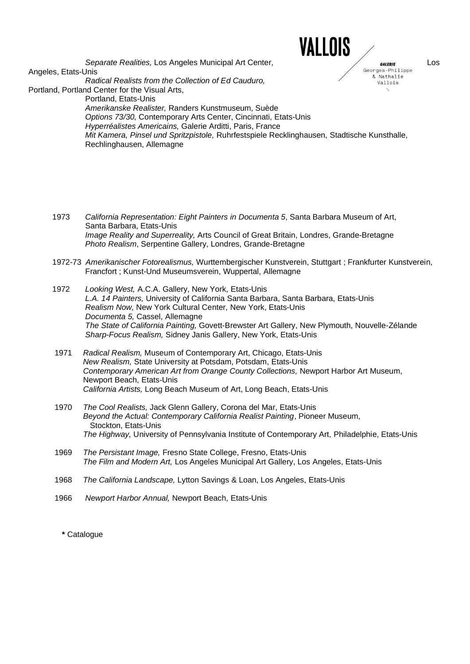

& Nathalie Vallois

*Separate Realities,* Los Angeles Municipal Art Center, **Los angles and the Separate Realities** Los<br>Inis Angeles, Etats-Unis *Radical Realists from the Collection of Ed Cauduro,* Portland, Portland Center for the Visual Arts, Portland, Etats-Unis  *Amerikanske Realister,* Randers Kunstmuseum, Suède  *Options 73/30,* Contemporary Arts Center, Cincinnati, Etats-Unis  *Hyperréalistes Americains,* Galerie Arditti, Paris, France  *Mit Kamera, Pinsel und Spritzpistole,* Ruhrfestspiele Recklinghausen, Stadtische Kunsthalle, Rechlinghausen, Allemagne

- 1973 *California Representation: Eight Painters in Documenta 5*, Santa Barbara Museum of Art, Santa Barbara, Etats-Unis  *Image Reality and Superreality,* Arts Council of Great Britain, Londres, Grande-Bretagne *Photo Realism*, Serpentine Gallery, Londres, Grande-Bretagne
- 1972-73 *Amerikanischer Fotorealismus,* Wurttembergischer Kunstverein, Stuttgart ; Frankfurter Kunstverein, Francfort ; Kunst-Und Museumsverein, Wuppertal, Allemagne
- 1972 *Looking West,* A.C.A. Gallery, New York, Etats-Unis  *L.A. 14 Painters,* University of California Santa Barbara, Santa Barbara, Etats-Unis  *Realism Now,* New York Cultural Center, New York, Etats-Unis  *Documenta 5,* Cassel, Allemagne  *The State of California Painting,* Govett-Brewster Art Gallery, New Plymouth, Nouvelle-Zélande *Sharp-Focus Realism,* Sidney Janis Gallery, New York, Etats-Unis
- 1971 *Radical Realism,* Museum of Contemporary Art, Chicago, Etats-Unis  *New Realism,* State University at Potsdam, Potsdam, Etats-Unis  *Contemporary American Art from Orange County Collections,* Newport Harbor Art Museum, Newport Beach, Etats-Unis  *California Artists,* Long Beach Museum of Art, Long Beach, Etats-Unis
- 1970 *The Cool Realists,* Jack Glenn Gallery, Corona del Mar, Etats-Unis *Beyond the Actual: Contemporary California Realist Painting*, Pioneer Museum, Stockton, Etats-Unis  *The Highway,* University of Pennsylvania Institute of Contemporary Art, Philadelphie, Etats-Unis
- 1969 *The Persistant Image,* Fresno State College, Fresno, Etats-Unis  *The Film and Modern Art,* Los Angeles Municipal Art Gallery, Los Angeles, Etats-Unis
- 1968 *The California Landscape,* Lytton Savings & Loan, Los Angeles, Etats-Unis
- 1966 *Newport Harbor Annual,* Newport Beach, Etats-Unis

**\*** Catalogue